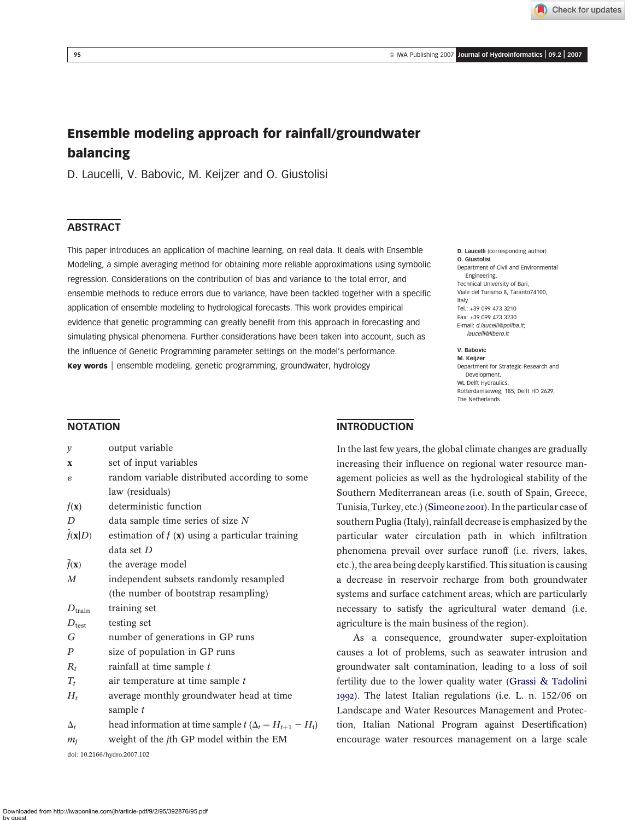Check for updates

D. Laucelli (corresponding author)

Department of Civil and Environmental

Department for Strategic Research and

Rotterdamseweg, 185, Delft HD 2629,

O. Giustolisi

Italy

V. Babovic M. Keijzer

Development, WL Delft Hydraulics,

The Netherlands

Engineering, Technical University of Bari, Viale del Turismo 8, Taranto74100,

Tel.: +39 099 473 3210 Fax: +39 099 473 3230 E-mail: d.laucelli@poliba.it; laucelli@libero.it

# Ensemble modeling approach for rainfall/groundwater balancing

D. Laucelli, V. Babovic, M. Keijzer and O. Giustolisi

# **ABSTRACT**

This paper introduces an application of machine learning, on real data. It deals with Ensemble Modeling, a simple averaging method for obtaining more reliable approximations using symbolic regression. Considerations on the contribution of bias and variance to the total error, and ensemble methods to reduce errors due to variance, have been tackled together with a specific application of ensemble modeling to hydrological forecasts. This work provides empirical evidence that genetic programming can greatly benefit from this approach in forecasting and simulating physical phenomena. Further considerations have been taken into account, such as the influence of Genetic Programming parameter settings on the model's performance. Key words | ensemble modeling, genetic programming, groundwater, hydrology

### NOTATION

| y                    | output variable                                                    |  |  |  |
|----------------------|--------------------------------------------------------------------|--|--|--|
| X                    | set of input variables                                             |  |  |  |
| ε                    | random variable distributed according to some                      |  |  |  |
|                      | law (residuals)                                                    |  |  |  |
| $f(\mathbf{x})$      | deterministic function                                             |  |  |  |
| D                    | data sample time series of size $N$                                |  |  |  |
| $f(\mathbf{x} D)$    | estimation of $f(x)$ using a particular training                   |  |  |  |
|                      | data set D                                                         |  |  |  |
| $f(\mathbf{x})$      | the average model                                                  |  |  |  |
| M                    | independent subsets randomly resampled                             |  |  |  |
|                      | (the number of bootstrap resampling)                               |  |  |  |
| $D_{\mathrm{train}}$ | training set                                                       |  |  |  |
| $D_{\text{test}}$    | testing set                                                        |  |  |  |
| G                    | number of generations in GP runs                                   |  |  |  |
| P                    | size of population in GP runs                                      |  |  |  |
| $R_t$                | rainfall at time sample t                                          |  |  |  |
| $T_t$                | air temperature at time sample t                                   |  |  |  |
| $H_t$                | average monthly groundwater head at time                           |  |  |  |
|                      | sample t                                                           |  |  |  |
| $\Delta_t$           | head information at time sample $t$ ( $\Delta_t = H_{t+1} - H_t$ ) |  |  |  |
|                      |                                                                    |  |  |  |

 $m_i$  weight of the jth GP model within the EM

doi: 10.2166/hydro.2007.102

# **INTRODUCTION**

In the last few years, the global climate changes are gradually increasing their influence on regional water resource management policies as well as the hydrological stability of the Southern Mediterranean areas (i.e. south of Spain, Greece, Tunisia, Turkey, etc.) ([Simeone 2001](#page-11-0)). In the particular case of southern Puglia (Italy), rainfall decrease is emphasized by the particular water circulation path in which infiltration phenomena prevail over surface runoff (i.e. rivers, lakes, etc.), the area being deeply karstified. This situation is causing a decrease in reservoir recharge from both groundwater systems and surface catchment areas, which are particularly necessary to satisfy the agricultural water demand (i.e. agriculture is the main business of the region).

As a consequence, groundwater super-exploitation causes a lot of problems, such as seawater intrusion and groundwater salt contamination, leading to a loss of soil fertility due to the lower quality water ([Grassi & Tadolini](#page-11-0) [1992](#page-11-0)). The latest Italian regulations (i.e. L. n. 152/06 on Landscape and Water Resources Management and Protection, Italian National Program against Desertification) encourage water resources management on a large scale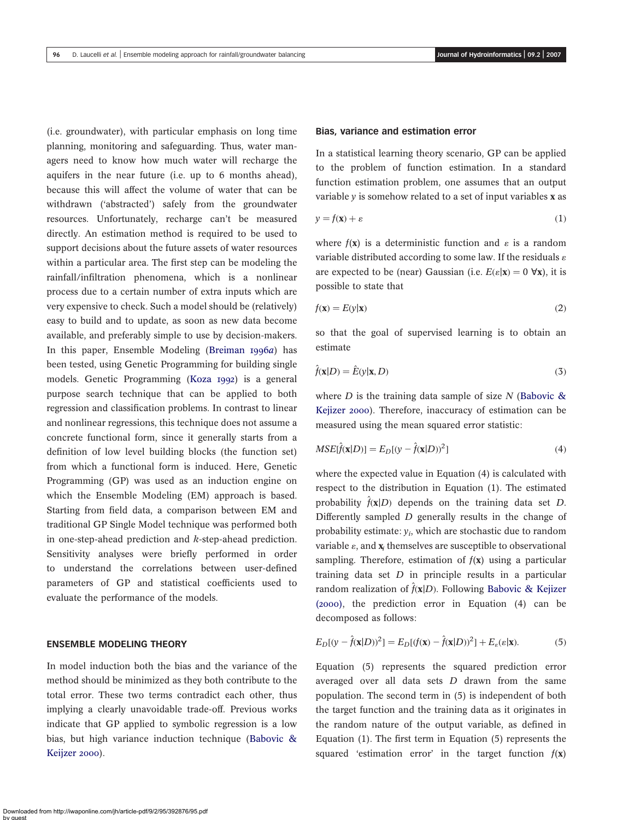(i.e. groundwater), with particular emphasis on long time planning, monitoring and safeguarding. Thus, water managers need to know how much water will recharge the aquifers in the near future (i.e. up to 6 months ahead), because this will affect the volume of water that can be withdrawn ('abstracted') safely from the groundwater resources. Unfortunately, recharge can't be measured directly. An estimation method is required to be used to support decisions about the future assets of water resources within a particular area. The first step can be modeling the rainfall/infiltration phenomena, which is a nonlinear process due to a certain number of extra inputs which are very expensive to check. Such a model should be (relatively) easy to build and to update, as soon as new data become available, and preferably simple to use by decision-makers. In this paper, Ensemble Modeling ([Breiman 1996](#page-10-0)a) has been tested, using Genetic Programming for building single models. Genetic Programming ([Koza 1992](#page-11-0)) is a general purpose search technique that can be applied to both regression and classification problems. In contrast to linear and nonlinear regressions, this technique does not assume a concrete functional form, since it generally starts from a definition of low level building blocks (the function set) from which a functional form is induced. Here, Genetic Programming (GP) was used as an induction engine on which the Ensemble Modeling (EM) approach is based. Starting from field data, a comparison between EM and traditional GP Single Model technique was performed both in one-step-ahead prediction and k-step-ahead prediction. Sensitivity analyses were briefly performed in order to understand the correlations between user-defined parameters of GP and statistical coefficients used to evaluate the performance of the models.

#### ENSEMBLE MODELING THEORY

In model induction both the bias and the variance of the method should be minimized as they both contribute to the total error. These two terms contradict each other, thus implying a clearly unavoidable trade-off. Previous works indicate that GP applied to symbolic regression is a low bias, but high variance induction technique ([Babovic &](#page-10-0) [Keijzer 2000](#page-10-0)).

### Bias, variance and estimation error

In a statistical learning theory scenario, GP can be applied to the problem of function estimation. In a standard function estimation problem, one assumes that an output variable  $\nu$  is somehow related to a set of input variables **x** as

$$
y = f(\mathbf{x}) + \varepsilon \tag{1}
$$

where  $f(x)$  is a deterministic function and  $\varepsilon$  is a random variable distributed according to some law. If the residuals  $\varepsilon$ are expected to be (near) Gaussian (i.e.  $E(\varepsilon|\mathbf{x}) = 0$   $\forall x$ ), it is possible to state that

$$
f(\mathbf{x}) = E(y|\mathbf{x})\tag{2}
$$

so that the goal of supervised learning is to obtain an estimate

$$
\hat{f}(\mathbf{x}|D) = \hat{E}(y|\mathbf{x}, D) \tag{3}
$$

where D is the training data sample of size N (Babovic  $\&$ [Kejizer 2000](#page-10-0)). Therefore, inaccuracy of estimation can be measured using the mean squared error statistic:

$$
MSE[\hat{f}(\mathbf{x}|D)] = E_D[(y - \hat{f}(\mathbf{x}|D))^2]
$$
\n(4)

where the expected value in Equation (4) is calculated with respect to the distribution in Equation (1). The estimated probability  $\hat{f}(\mathbf{x}|D)$  depends on the training data set D. Differently sampled D generally results in the change of probability estimate:  $y_i$ , which are stochastic due to random variable  $\varepsilon$ , and  $\mathbf{x}_i$  themselves are susceptible to observational sampling. Therefore, estimation of  $f(x)$  using a particular training data set  $D$  in principle results in a particular random realization of  $\hat{f}(\mathbf{x}|D)$ . Following [Babovic & Kejizer](#page-10-0) [\(2000\)](#page-10-0), the prediction error in Equation (4) can be decomposed as follows:

$$
E_D[(y - \hat{f}(\mathbf{x}|D))^2] = E_D[(f(\mathbf{x}) - \hat{f}(\mathbf{x}|D))^2] + E_{\varepsilon}(\varepsilon|\mathbf{x}).
$$
\n(5)

Equation (5) represents the squared prediction error averaged over all data sets D drawn from the same population. The second term in (5) is independent of both the target function and the training data as it originates in the random nature of the output variable, as defined in Equation (1). The first term in Equation (5) represents the squared 'estimation error' in the target function  $f(x)$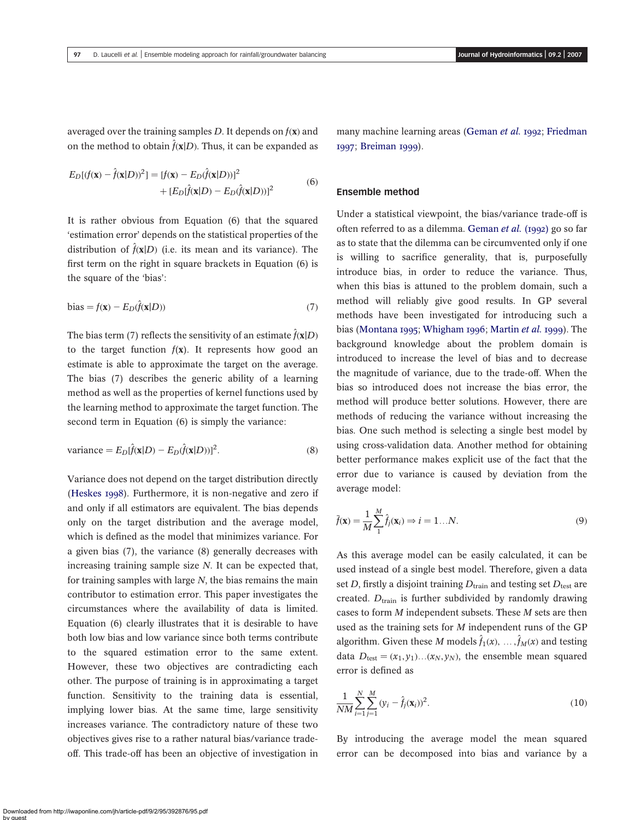averaged over the training samples  $D$ . It depends on  $f(\mathbf{x})$  and on the method to obtain  $\hat{f}(\mathbf{x}|D)$ . Thus, it can be expanded as

$$
E_D[(f(\mathbf{x}) - \hat{f}(\mathbf{x}|D))^2] = [f(\mathbf{x}) - E_D(\hat{f}(\mathbf{x}|D))]^2
$$
  
 
$$
+ [E_D[\hat{f}(\mathbf{x}|D) - E_D(\hat{f}(\mathbf{x}|D))]^2
$$
(6)

It is rather obvious from Equation (6) that the squared 'estimation error' depends on the statistical properties of the distribution of  $\hat{f}(\mathbf{x}|D)$  (i.e. its mean and its variance). The first term on the right in square brackets in Equation (6) is the square of the 'bias':

bias = 
$$
f(\mathbf{x}) - E_D(\hat{f}(\mathbf{x}|D))
$$
 (7)

The bias term (7) reflects the sensitivity of an estimate  $\hat{f}(\mathbf{x}|D)$ to the target function  $f(x)$ . It represents how good an estimate is able to approximate the target on the average. The bias (7) describes the generic ability of a learning method as well as the properties of kernel functions used by the learning method to approximate the target function. The second term in Equation (6) is simply the variance:

variance = 
$$
E_D[\hat{f}(\mathbf{x}|D) - E_D(\hat{f}(\mathbf{x}|D))]^2
$$
. (8)

Variance does not depend on the target distribution directly ([Heskes 1998](#page-11-0)). Furthermore, it is non-negative and zero if and only if all estimators are equivalent. The bias depends only on the target distribution and the average model, which is defined as the model that minimizes variance. For a given bias (7), the variance (8) generally decreases with increasing training sample size N. It can be expected that, for training samples with large  $N$ , the bias remains the main contributor to estimation error. This paper investigates the circumstances where the availability of data is limited. Equation (6) clearly illustrates that it is desirable to have both low bias and low variance since both terms contribute to the squared estimation error to the same extent. However, these two objectives are contradicting each other. The purpose of training is in approximating a target function. Sensitivity to the training data is essential, implying lower bias. At the same time, large sensitivity increases variance. The contradictory nature of these two objectives gives rise to a rather natural bias/variance tradeoff. This trade-off has been an objective of investigation in many machine learning areas ([Geman](#page-11-0) et al. 1992; [Friedman](#page-11-0) [1997](#page-11-0); [Breiman 1999](#page-10-0)).

#### Ensemble method

Under a statistical viewpoint, the bias/variance trade-off is often referred to as a dilemma. [Geman](#page-11-0) et al. (1992) go so far as to state that the dilemma can be circumvented only if one is willing to sacrifice generality, that is, purposefully introduce bias, in order to reduce the variance. Thus, when this bias is attuned to the problem domain, such a method will reliably give good results. In GP several methods have been investigated for introducing such a bias ([Montana 1995](#page-11-0); [Whigham 1996](#page-11-0); [Martin](#page-11-0) et al. 1999). The background knowledge about the problem domain is introduced to increase the level of bias and to decrease the magnitude of variance, due to the trade-off. When the bias so introduced does not increase the bias error, the method will produce better solutions. However, there are methods of reducing the variance without increasing the bias. One such method is selecting a single best model by using cross-validation data. Another method for obtaining better performance makes explicit use of the fact that the error due to variance is caused by deviation from the average model:

$$
\bar{f}(\mathbf{x}) = \frac{1}{M} \sum_{1}^{M} \hat{f}_j(\mathbf{x}_i) \Rightarrow i = 1...N.
$$
 (9)

As this average model can be easily calculated, it can be used instead of a single best model. Therefore, given a data set D, firstly a disjoint training  $D_{\text{train}}$  and testing set  $D_{\text{test}}$  are created.  $D<sub>train</sub>$  is further subdivided by randomly drawing cases to form M independent subsets. These M sets are then used as the training sets for M independent runs of the GP algorithm. Given these  $M$  models  $\hat{f}_1(x),\, \dots, \hat{f}_M(x)$  and testing data  $D_{\text{test}} = (x_1, y_1) \dots (x_N, y_N)$ , the ensemble mean squared error is defined as

$$
\frac{1}{NM} \sum_{i=1}^{N} \sum_{j=1}^{M} (y_i - \hat{f}_j(\mathbf{x}_i))^2.
$$
 (10)

By introducing the average model the mean squared error can be decomposed into bias and variance by a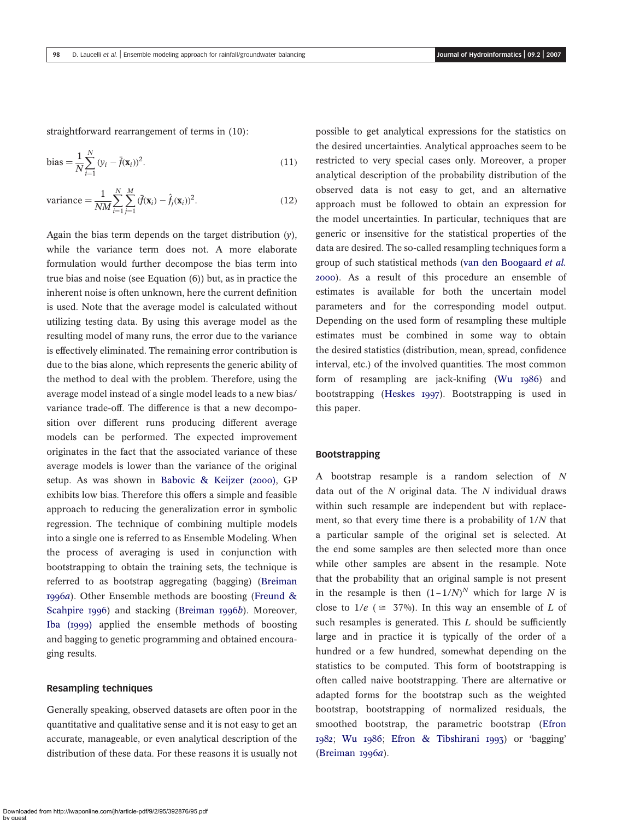straightforward rearrangement of terms in (10):

bias = 
$$
\frac{1}{N} \sum_{i=1}^{N} (y_i - \bar{f}(\mathbf{x}_i))^2
$$
. (11)

variance = 
$$
\frac{1}{NM} \sum_{i=1}^{N} \sum_{j=1}^{M} (\bar{f}(\mathbf{x}_i) - \hat{f}_j(\mathbf{x}_i))^2.
$$
 (12)

Again the bias term depends on the target distribution  $(y)$ , while the variance term does not. A more elaborate formulation would further decompose the bias term into true bias and noise (see Equation (6)) but, as in practice the inherent noise is often unknown, here the current definition is used. Note that the average model is calculated without utilizing testing data. By using this average model as the resulting model of many runs, the error due to the variance is effectively eliminated. The remaining error contribution is due to the bias alone, which represents the generic ability of the method to deal with the problem. Therefore, using the average model instead of a single model leads to a new bias/ variance trade-off. The difference is that a new decomposition over different runs producing different average models can be performed. The expected improvement originates in the fact that the associated variance of these average models is lower than the variance of the original setup. As was shown in [Babovic & Keijzer \(2000\)](#page-10-0), GP exhibits low bias. Therefore this offers a simple and feasible approach to reducing the generalization error in symbolic regression. The technique of combining multiple models into a single one is referred to as Ensemble Modeling. When the process of averaging is used in conjunction with bootstrapping to obtain the training sets, the technique is referred to as bootstrap aggregating (bagging) ([Breiman](#page-10-0) [1996](#page-10-0)a). Other Ensemble methods are boosting (Freund  $\&$ [Scahpire 1996](#page-11-0)) and stacking ([Breiman 1996](#page-10-0)b). Moreover, [Iba \(1999\)](#page-11-0) applied the ensemble methods of boosting and bagging to genetic programming and obtained encouraging results.

#### Resampling techniques

Generally speaking, observed datasets are often poor in the quantitative and qualitative sense and it is not easy to get an accurate, manageable, or even analytical description of the distribution of these data. For these reasons it is usually not possible to get analytical expressions for the statistics on the desired uncertainties. Analytical approaches seem to be restricted to very special cases only. Moreover, a proper analytical description of the probability distribution of the observed data is not easy to get, and an alternative approach must be followed to obtain an expression for the model uncertainties. In particular, techniques that are generic or insensitive for the statistical properties of the data are desired. The so-called resampling techniques form a group of such statistical methods ([van den Boogaard](#page-11-0) et al. [2000](#page-11-0)). As a result of this procedure an ensemble of estimates is available for both the uncertain model parameters and for the corresponding model output. Depending on the used form of resampling these multiple estimates must be combined in some way to obtain the desired statistics (distribution, mean, spread, confidence interval, etc.) of the involved quantities. The most common form of resampling are jack-knifing ([Wu 1986](#page-11-0)) and bootstrapping ([Heskes 1997](#page-11-0)). Bootstrapping is used in this paper.

# Bootstrapping

A bootstrap resample is a random selection of N data out of the  $N$  original data. The  $N$  individual draws within such resample are independent but with replacement, so that every time there is a probability of 1/N that a particular sample of the original set is selected. At the end some samples are then selected more than once while other samples are absent in the resample. Note that the probability that an original sample is not present in the resample is then  $(1-1/N)^N$  which for large N is close to  $1/e$  ( $\approx$  37%). In this way an ensemble of L of such resamples is generated. This  $L$  should be sufficiently large and in practice it is typically of the order of a hundred or a few hundred, somewhat depending on the statistics to be computed. This form of bootstrapping is often called naive bootstrapping. There are alternative or adapted forms for the bootstrap such as the weighted bootstrap, bootstrapping of normalized residuals, the smoothed bootstrap, the parametric bootstrap ([Efron](#page-10-0) [1982](#page-10-0); [Wu 1986](#page-11-0); [Efron & Tibshirani 1993](#page-10-0)) or 'bagging' ([Breiman 1996](#page-10-0)a).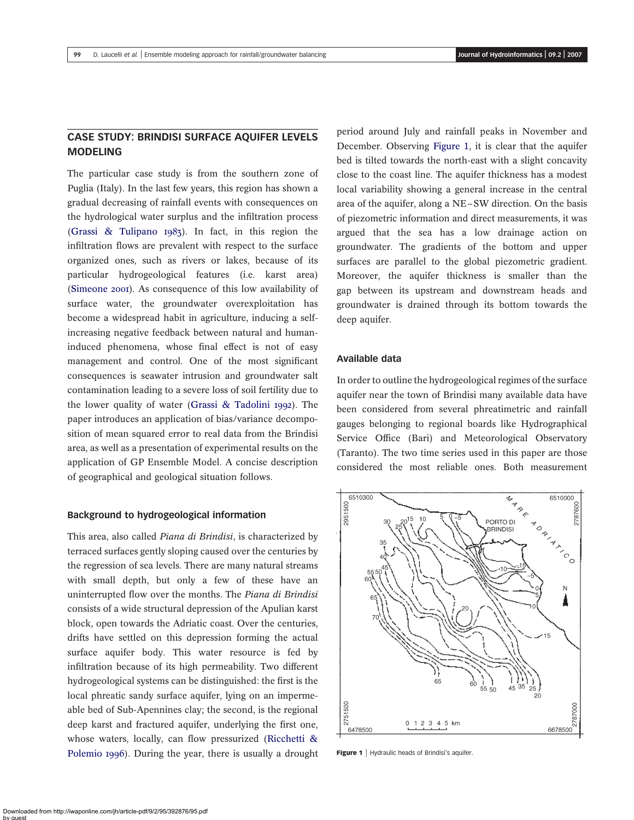# CASE STUDY: BRINDISI SURFACE AQUIFER LEVELS MODELING

The particular case study is from the southern zone of Puglia (Italy). In the last few years, this region has shown a gradual decreasing of rainfall events with consequences on the hydrological water surplus and the infiltration process ([Grassi & Tulipano 1983](#page-11-0)). In fact, in this region the infiltration flows are prevalent with respect to the surface organized ones, such as rivers or lakes, because of its particular hydrogeological features (i.e. karst area) ([Simeone 2001](#page-11-0)). As consequence of this low availability of surface water, the groundwater overexploitation has become a widespread habit in agriculture, inducing a selfincreasing negative feedback between natural and humaninduced phenomena, whose final effect is not of easy management and control. One of the most significant consequences is seawater intrusion and groundwater salt contamination leading to a severe loss of soil fertility due to the lower quality of water ([Grassi & Tadolini 1992](#page-11-0)). The paper introduces an application of bias/variance decomposition of mean squared error to real data from the Brindisi area, as well as a presentation of experimental results on the application of GP Ensemble Model. A concise description of geographical and geological situation follows.

#### Background to hydrogeological information

This area, also called Piana di Brindisi, is characterized by terraced surfaces gently sloping caused over the centuries by the regression of sea levels. There are many natural streams with small depth, but only a few of these have an uninterrupted flow over the months. The Piana di Brindisi consists of a wide structural depression of the Apulian karst block, open towards the Adriatic coast. Over the centuries, drifts have settled on this depression forming the actual surface aquifer body. This water resource is fed by infiltration because of its high permeability. Two different hydrogeological systems can be distinguished: the first is the local phreatic sandy surface aquifer, lying on an impermeable bed of Sub-Apennines clay; the second, is the regional deep karst and fractured aquifer, underlying the first one, whose waters, locally, can flow pressurized ([Ricchetti &](#page-11-0) [Polemio 1996](#page-11-0)). During the year, there is usually a drought period around July and rainfall peaks in November and December. Observing Figure 1, it is clear that the aquifer bed is tilted towards the north-east with a slight concavity close to the coast line. The aquifer thickness has a modest local variability showing a general increase in the central area of the aquifer, along a NE–SW direction. On the basis of piezometric information and direct measurements, it was argued that the sea has a low drainage action on groundwater. The gradients of the bottom and upper surfaces are parallel to the global piezometric gradient. Moreover, the aquifer thickness is smaller than the gap between its upstream and downstream heads and groundwater is drained through its bottom towards the deep aquifer.

### Available data

In order to outline the hydrogeological regimes of the surface aquifer near the town of Brindisi many available data have been considered from several phreatimetric and rainfall gauges belonging to regional boards like Hydrographical Service Office (Bari) and Meteorological Observatory (Taranto). The two time series used in this paper are those considered the most reliable ones. Both measurement



Figure 1 | Hydraulic heads of Brindisi's aquifer.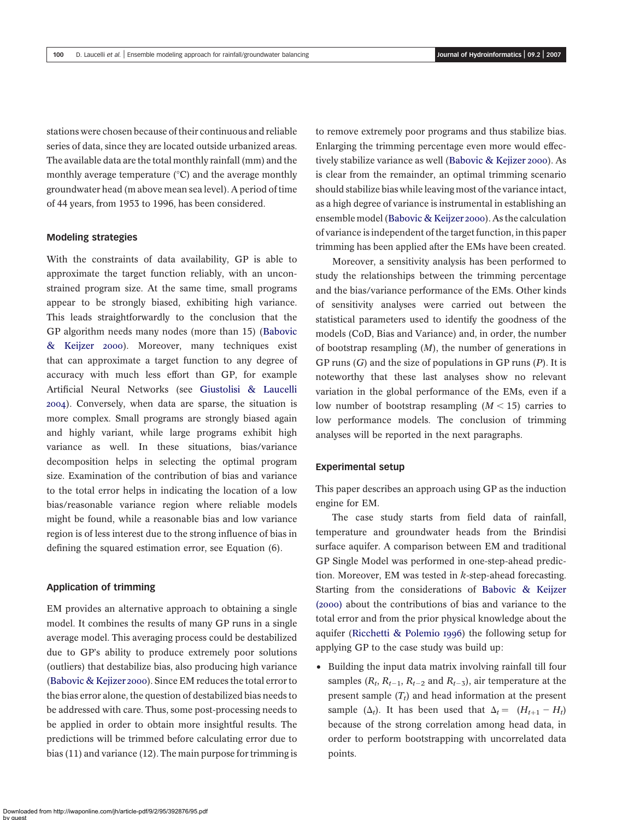stations were chosen because of their continuous and reliable series of data, since they are located outside urbanized areas. The available data are the total monthly rainfall (mm) and the monthly average temperature  $(°C)$  and the average monthly groundwater head (m above mean sea level). A period of time of 44 years, from 1953 to 1996, has been considered.

#### Modeling strategies

With the constraints of data availability, GP is able to approximate the target function reliably, with an unconstrained program size. At the same time, small programs appear to be strongly biased, exhibiting high variance. This leads straightforwardly to the conclusion that the GP algorithm needs many nodes (more than 15) ([Babovic](#page-10-0) [& Keijzer 2000](#page-10-0)). Moreover, many techniques exist that can approximate a target function to any degree of accuracy with much less effort than GP, for example Artificial Neural Networks (see [Giustolisi & Laucelli](#page-11-0) [2004](#page-11-0)). Conversely, when data are sparse, the situation is more complex. Small programs are strongly biased again and highly variant, while large programs exhibit high variance as well. In these situations, bias/variance decomposition helps in selecting the optimal program size. Examination of the contribution of bias and variance to the total error helps in indicating the location of a low bias/reasonable variance region where reliable models might be found, while a reasonable bias and low variance region is of less interest due to the strong influence of bias in defining the squared estimation error, see Equation (6).

#### Application of trimming

EM provides an alternative approach to obtaining a single model. It combines the results of many GP runs in a single average model. This averaging process could be destabilized due to GP's ability to produce extremely poor solutions (outliers) that destabilize bias, also producing high variance ([Babovic & Kejizer 2000](#page-10-0)). Since EM reduces the total error to the bias error alone, the question of destabilized bias needs to be addressed with care. Thus, some post-processing needs to be applied in order to obtain more insightful results. The predictions will be trimmed before calculating error due to bias (11) and variance (12). The main purpose for trimming is to remove extremely poor programs and thus stabilize bias. Enlarging the trimming percentage even more would effectively stabilize variance as well ([Babovic & Kejizer 2000](#page-10-0)). As is clear from the remainder, an optimal trimming scenario should stabilize bias while leaving most of the variance intact, as a high degree of variance is instrumental in establishing an ensemble model ([Babovic & Keijzer 2000](#page-10-0)). As the calculation of variance is independent of the target function, in this paper trimming has been applied after the EMs have been created.

Moreover, a sensitivity analysis has been performed to study the relationships between the trimming percentage and the bias/variance performance of the EMs. Other kinds of sensitivity analyses were carried out between the statistical parameters used to identify the goodness of the models (CoD, Bias and Variance) and, in order, the number of bootstrap resampling  $(M)$ , the number of generations in GP runs  $(G)$  and the size of populations in GP runs  $(P)$ . It is noteworthy that these last analyses show no relevant variation in the global performance of the EMs, even if a low number of bootstrap resampling  $(M < 15)$  carries to low performance models. The conclusion of trimming analyses will be reported in the next paragraphs.

#### Experimental setup

This paper describes an approach using GP as the induction engine for EM.

The case study starts from field data of rainfall, temperature and groundwater heads from the Brindisi surface aquifer. A comparison between EM and traditional GP Single Model was performed in one-step-ahead prediction. Moreover, EM was tested in  $k$ -step-ahead forecasting. Starting from the considerations of [Babovic & Keijzer](#page-10-0) [\(2000\)](#page-10-0) about the contributions of bias and variance to the total error and from the prior physical knowledge about the aquifer ([Ricchetti & Polemio 1996](#page-11-0)) the following setup for applying GP to the case study was build up:

• Building the input data matrix involving rainfall till four samples ( $R_t$ ,  $R_{t-1}$ ,  $R_{t-2}$  and  $R_{t-3}$ ), air temperature at the present sample  $(T_t)$  and head information at the present sample  $(\Delta_t)$ . It has been used that  $\Delta_t = (H_{t+1} - H_t)$ because of the strong correlation among head data, in order to perform bootstrapping with uncorrelated data points.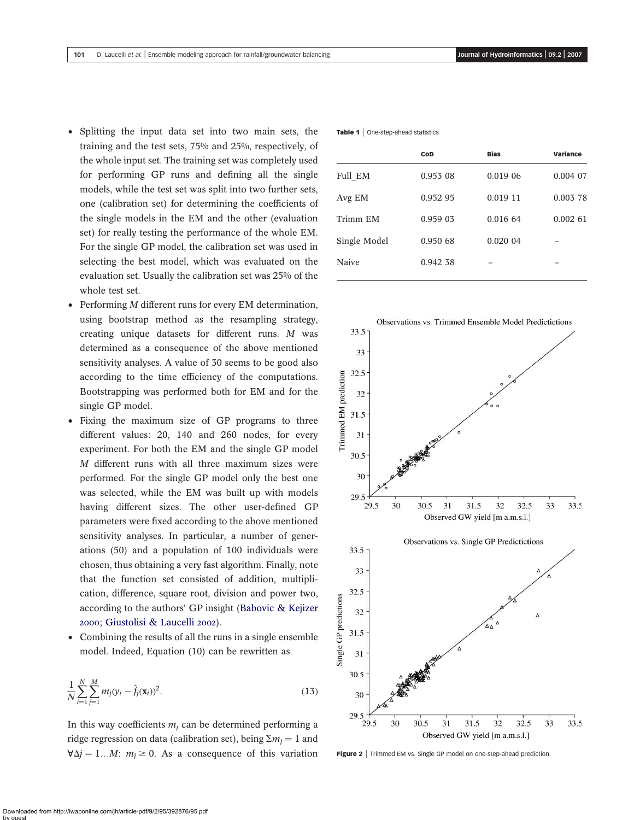- <span id="page-6-0"></span>† Splitting the input data set into two main sets, the training and the test sets, 75% and 25%, respectively, of the whole input set. The training set was completely used for performing GP runs and defining all the single models, while the test set was split into two further sets, one (calibration set) for determining the coefficients of the single models in the EM and the other (evaluation set) for really testing the performance of the whole EM. For the single GP model, the calibration set was used in selecting the best model, which was evaluated on the evaluation set. Usually the calibration set was 25% of the whole test set.
- † Performing M different runs for every EM determination, using bootstrap method as the resampling strategy, creating unique datasets for different runs. M was determined as a consequence of the above mentioned sensitivity analyses. A value of 30 seems to be good also according to the time efficiency of the computations. Bootstrapping was performed both for EM and for the single GP model.
- Fixing the maximum size of GP programs to three different values: 20, 140 and 260 nodes, for every experiment. For both the EM and the single GP model M different runs with all three maximum sizes were performed. For the single GP model only the best one was selected, while the EM was built up with models having different sizes. The other user-defined GP parameters were fixed according to the above mentioned sensitivity analyses. In particular, a number of generations (50) and a population of 100 individuals were chosen, thus obtaining a very fast algorithm. Finally, note that the function set consisted of addition, multiplication, difference, square root, division and power two, according to the authors' GP insight ([Babovic & Kejizer](#page-10-0) [2000](#page-10-0); [Giustolisi & Laucelli 2002](#page-11-0)).
- Combining the results of all the runs in a single ensemble model. Indeed, Equation (10) can be rewritten as

$$
\frac{1}{N} \sum_{i=1}^{N} \sum_{j=1}^{M} m_j (y_i - \hat{f}_j(\mathbf{x}_i))^2.
$$
 (13)

In this way coefficients  $m_i$  can be determined performing a ridge regression on data (calibration set), being  $\Sigma m_i = 1$  and  $\forall \Delta j = 1...M$ :  $m_i \ge 0$ . As a consequence of this variation Figure 2 | Trimmed EM vs. Single GP model on one-step-ahead prediction.

Table 1 | One-step-ahead statistics

|              | CoD      | <b>Bias</b> | Variance |
|--------------|----------|-------------|----------|
| Full EM      | 0.953 08 | 0.019 06    | 0.004 07 |
| Avg EM       | 0.952 95 | 0.019 11    | 0.003 78 |
| Trimm EM     | 0.959 03 | 0.016 64    | 0.00261  |
| Single Model | 0.950 68 | 0.020 04    |          |
| Naive        | 0.942 38 |             |          |
|              |          |             |          |

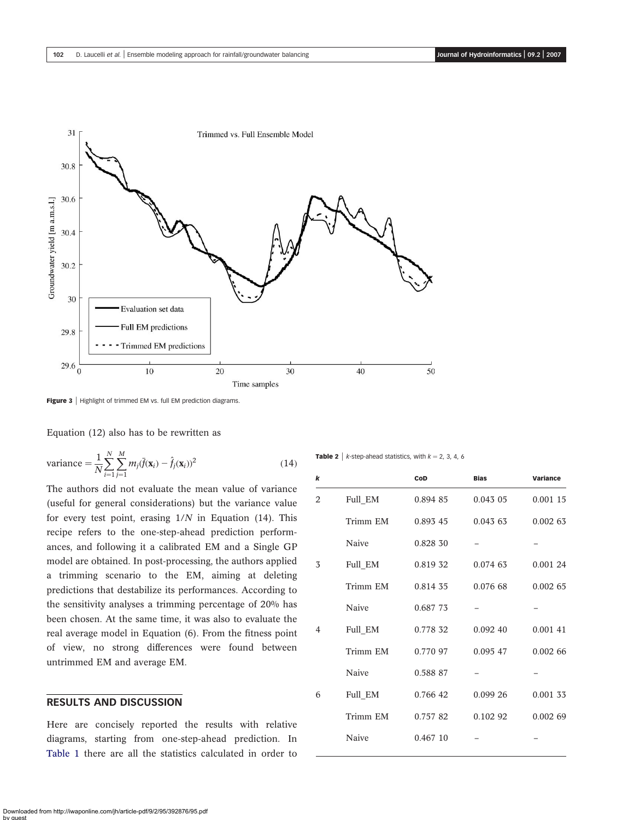

<span id="page-7-0"></span>

Figure 3 | Highlight of trimmed EM vs. full EM prediction diagrams.

Equation (12) also has to be rewritten as

variance = 
$$
\frac{1}{N} \sum_{i=1}^{N} \sum_{j=1}^{M} m_j (\bar{f}(\mathbf{x}_i) - \hat{f}_j(\mathbf{x}_i))^2
$$
 (14)

The authors did not evaluate the mean value of variance (useful for general considerations) but the variance value for every test point, erasing  $1/N$  in Equation (14). This recipe refers to the one-step-ahead prediction performances, and following it a calibrated EM and a Single GP model are obtained. In post-processing, the authors applied a trimming scenario to the EM, aiming at deleting predictions that destabilize its performances. According to the sensitivity analyses a trimming percentage of 20% has been chosen. At the same time, it was also to evaluate the real average model in Equation (6). From the fitness point of view, no strong differences were found between untrimmed EM and average EM.

## RESULTS AND DISCUSSION

Here are concisely reported the results with relative diagrams, starting from one-step-ahead prediction. In [Table 1](#page-6-0) there are all the statistics calculated in order to

**Table 2** |  $k$ -step-ahead statistics, with  $k = 2, 3, 4, 6$ 

| k |          | CoD      | <b>Bias</b> | <b>Variance</b> |
|---|----------|----------|-------------|-----------------|
| 2 | Full_EM  | 0.894 85 | $0.043$ 05  | 0.001 15        |
|   | Trimm EM | 0.893 45 | 0.04363     | 0.00263         |
|   | Naive    | 0.828 30 |             |                 |
| 3 | Full_EM  | 0.819 32 | 0.074 63    | 0.001 24        |
|   | Trimm EM | 0.814 35 | 0.076 68    | 0.00265         |
|   | Naive    | 0.687 73 |             |                 |
| 4 | Full_EM  | 0.778 32 | 0.092, 40   | 0.001 41        |
|   | Trimm EM | 0.770 97 | 0.095 47    | 0.00266         |
|   | Naive    | 0.588 87 |             |                 |
| 6 | Full_EM  | 0.766 42 | 0.09926     | 0.001 33        |
|   | Trimm EM | 0.75782  | $0.102$ 92  | 0.00269         |
|   | Naive    | 0.467 10 |             |                 |
|   |          |          |             |                 |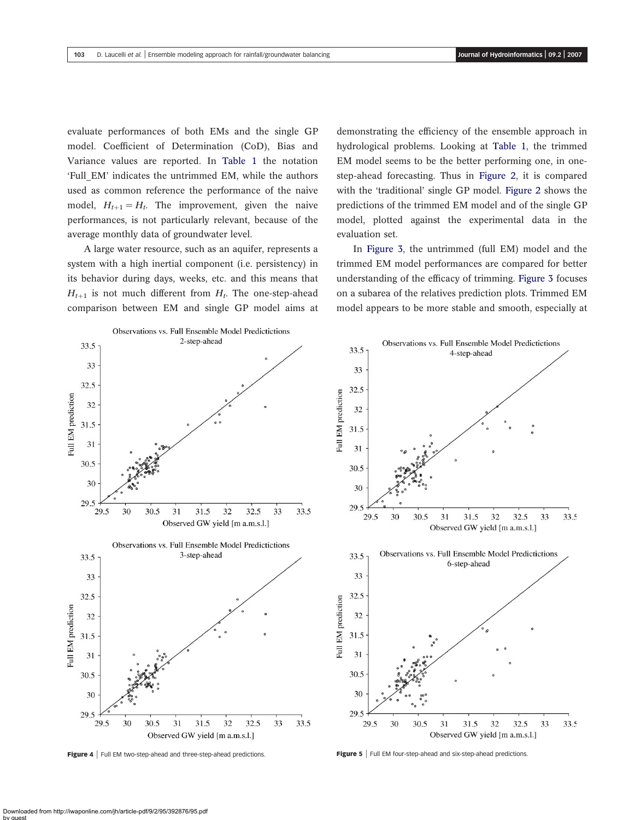<span id="page-8-0"></span>evaluate performances of both EMs and the single GP model. Coefficient of Determination (CoD), Bias and Variance values are reported. In [Table 1](#page-6-0) the notation 'Full\_EM' indicates the untrimmed EM, while the authors used as common reference the performance of the naive model,  $H_{t+1} = H_t$ . The improvement, given the naive performances, is not particularly relevant, because of the average monthly data of groundwater level.

A large water resource, such as an aquifer, represents a system with a high inertial component (i.e. persistency) in its behavior during days, weeks, etc. and this means that  $H_{t+1}$  is not much different from  $H_t$ . The one-step-ahead comparison between EM and single GP model aims at demonstrating the efficiency of the ensemble approach in hydrological problems. Looking at [Table 1](#page-6-0), the trimmed EM model seems to be the better performing one, in onestep-ahead forecasting. Thus in [Figure 2](#page-6-0), it is compared with the 'traditional' single GP model. [Figure 2](#page-6-0) shows the predictions of the trimmed EM model and of the single GP model, plotted against the experimental data in the evaluation set.

In [Figure 3](#page-7-0), the untrimmed (full EM) model and the trimmed EM model performances are compared for better understanding of the efficacy of trimming. [Figure 3](#page-7-0) focuses on a subarea of the relatives prediction plots. Trimmed EM model appears to be more stable and smooth, especially at





Figure 4 | Full EM two-step-ahead and three-step-ahead predictions. <br>Figure 5 | Full EM four-step-ahead predictions.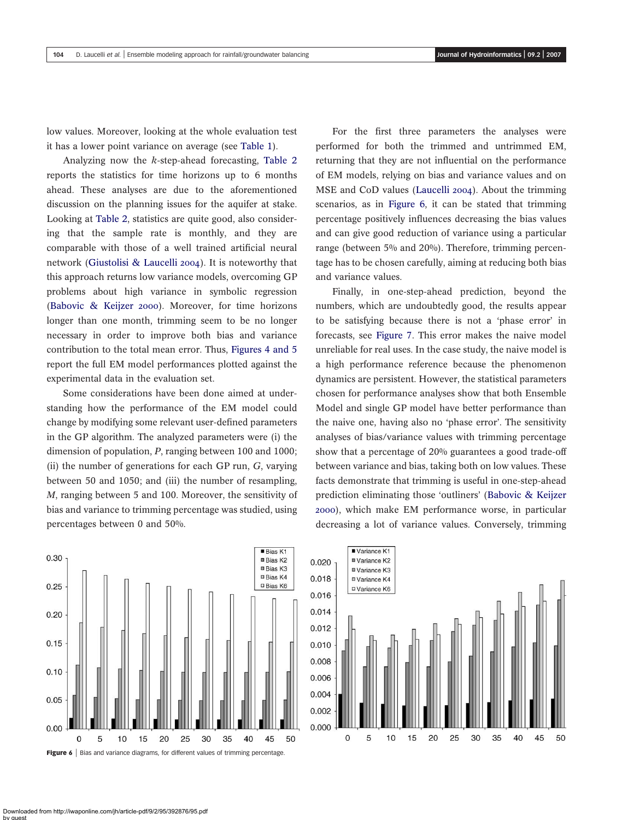low values. Moreover, looking at the whole evaluation test it has a lower point variance on average (see [Table 1](#page-6-0)).

Analyzing now the k-step-ahead forecasting, [Table 2](#page-7-0) reports the statistics for time horizons up to 6 months ahead. These analyses are due to the aforementioned discussion on the planning issues for the aquifer at stake. Looking at [Table 2](#page-7-0), statistics are quite good, also considering that the sample rate is monthly, and they are comparable with those of a well trained artificial neural network ([Giustolisi & Laucelli 2004](#page-11-0)). It is noteworthy that this approach returns low variance models, overcoming GP problems about high variance in symbolic regression ([Babovic & Keijzer 2000](#page-10-0)). Moreover, for time horizons longer than one month, trimming seem to be no longer necessary in order to improve both bias and variance contribution to the total mean error. Thus, [Figures 4 and 5](#page-8-0) report the full EM model performances plotted against the experimental data in the evaluation set.

Some considerations have been done aimed at understanding how the performance of the EM model could change by modifying some relevant user-defined parameters in the GP algorithm. The analyzed parameters were (i) the dimension of population, P, ranging between 100 and 1000; (ii) the number of generations for each GP run,  $G$ , varying between 50 and 1050; and (iii) the number of resampling, M, ranging between 5 and 100. Moreover, the sensitivity of bias and variance to trimming percentage was studied, using percentages between 0 and 50%.

For the first three parameters the analyses were performed for both the trimmed and untrimmed EM, returning that they are not influential on the performance of EM models, relying on bias and variance values and on MSE and CoD values ([Laucelli 2004](#page-11-0)). About the trimming scenarios, as in Figure 6, it can be stated that trimming percentage positively influences decreasing the bias values and can give good reduction of variance using a particular range (between 5% and 20%). Therefore, trimming percentage has to be chosen carefully, aiming at reducing both bias and variance values.

Finally, in one-step-ahead prediction, beyond the numbers, which are undoubtedly good, the results appear to be satisfying because there is not a 'phase error' in forecasts, see [Figure 7.](#page-10-0) This error makes the naive model unreliable for real uses. In the case study, the naive model is a high performance reference because the phenomenon dynamics are persistent. However, the statistical parameters chosen for performance analyses show that both Ensemble Model and single GP model have better performance than the naive one, having also no 'phase error'. The sensitivity analyses of bias/variance values with trimming percentage show that a percentage of 20% guarantees a good trade-off between variance and bias, taking both on low values. These facts demonstrate that trimming is useful in one-step-ahead prediction eliminating those 'outliners' ([Babovic & Keijzer](#page-10-0) [2000](#page-10-0)), which make EM performance worse, in particular decreasing a lot of variance values. Conversely, trimming



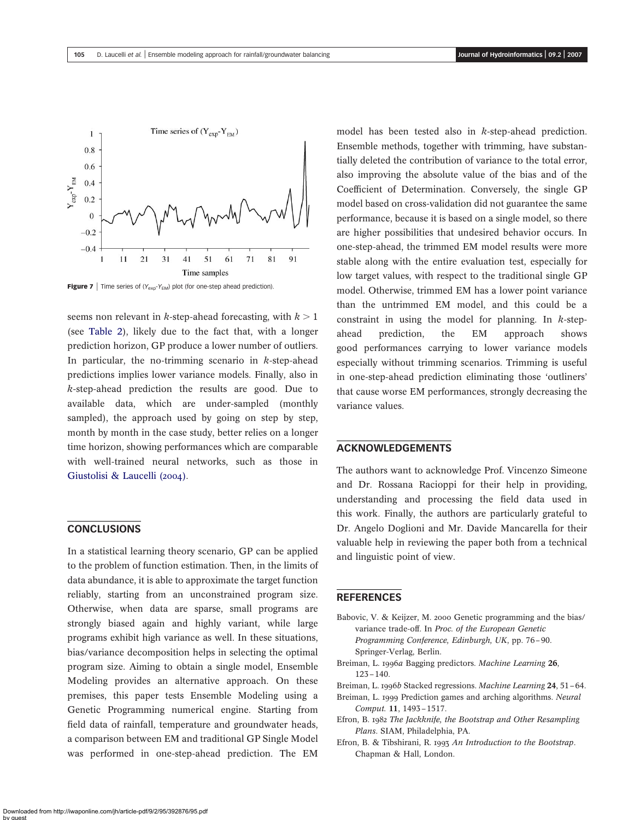<span id="page-10-0"></span>

**Figure 7** | Time series of  $(Y_{exp}-Y_{EM})$  plot (for one-step ahead prediction).

seems non relevant in k-step-ahead forecasting, with  $k > 1$ (see [Table 2](#page-7-0)), likely due to the fact that, with a longer prediction horizon, GP produce a lower number of outliers. In particular, the no-trimming scenario in  $k$ -step-ahead predictions implies lower variance models. Finally, also in k-step-ahead prediction the results are good. Due to available data, which are under-sampled (monthly sampled), the approach used by going on step by step, month by month in the case study, better relies on a longer time horizon, showing performances which are comparable with well-trained neural networks, such as those in [Giustolisi & Laucelli \(2004\)](#page-11-0).

# **CONCLUSIONS**

In a statistical learning theory scenario, GP can be applied to the problem of function estimation. Then, in the limits of data abundance, it is able to approximate the target function reliably, starting from an unconstrained program size. Otherwise, when data are sparse, small programs are strongly biased again and highly variant, while large programs exhibit high variance as well. In these situations, bias/variance decomposition helps in selecting the optimal program size. Aiming to obtain a single model, Ensemble Modeling provides an alternative approach. On these premises, this paper tests Ensemble Modeling using a Genetic Programming numerical engine. Starting from field data of rainfall, temperature and groundwater heads, a comparison between EM and traditional GP Single Model was performed in one-step-ahead prediction. The EM

model has been tested also in k-step-ahead prediction. Ensemble methods, together with trimming, have substantially deleted the contribution of variance to the total error, also improving the absolute value of the bias and of the Coefficient of Determination. Conversely, the single GP model based on cross-validation did not guarantee the same performance, because it is based on a single model, so there are higher possibilities that undesired behavior occurs. In one-step-ahead, the trimmed EM model results were more stable along with the entire evaluation test, especially for low target values, with respect to the traditional single GP model. Otherwise, trimmed EM has a lower point variance than the untrimmed EM model, and this could be a constraint in using the model for planning. In  $k$ -stepahead prediction, the EM approach shows good performances carrying to lower variance models especially without trimming scenarios. Trimming is useful in one-step-ahead prediction eliminating those 'outliners' that cause worse EM performances, strongly decreasing the variance values.

### ACKNOWLEDGEMENTS

The authors want to acknowledge Prof. Vincenzo Simeone and Dr. Rossana Racioppi for their help in providing, understanding and processing the field data used in this work. Finally, the authors are particularly grateful to Dr. Angelo Doglioni and Mr. Davide Mancarella for their valuable help in reviewing the paper both from a technical and linguistic point of view.

## **REFERENCES**

- Babovic, V. & Keijzer, M. 2000 Genetic programming and the bias/ variance trade-off. In Proc. of the European Genetic Programming Conference, Edinburgh, UK, pp. 76–90. Springer-Verlag, Berlin.
- Breiman, L. 1996a Bagging predictors. Machine Learning 26, 123–140.
- Breiman, L. 1996b Stacked regressions. Machine Learning 24, 51-64.
- Breiman, L. 1999 Prediction games and arching algorithms. Neural Comput. 11, 1493–1517.
- Efron, B. 1982 The Jackknife, the Bootstrap and Other Resampling Plans. SIAM, Philadelphia, PA.
- Efron, B. & Tibshirani, R. 1993 An Introduction to the Bootstrap. Chapman & Hall, London.